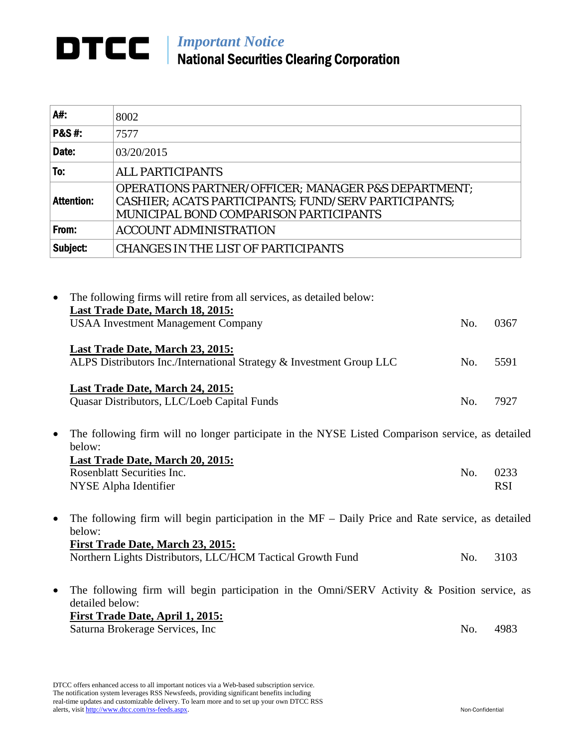## *Important Notice*  National Securities Clearing Corporation

| A#:               | 8002                                                                                                                                                                           |
|-------------------|--------------------------------------------------------------------------------------------------------------------------------------------------------------------------------|
| <b>P&amp;S#:</b>  | 7577                                                                                                                                                                           |
| Date:             | 03/20/2015                                                                                                                                                                     |
| To:               | <b>ALL PARTICIPANTS</b>                                                                                                                                                        |
| <b>Attention:</b> | <b>OPERATIONS PARTNER/OFFICER; MANAGER P&amp;S DEPARTMENT;</b><br><b>CASHIER; ACATS PARTICIPANTS; FUND/SERV PARTICIPANTS;</b><br><b>MUNICIPAL BOND COMPARISON PARTICIPANTS</b> |
| From:             | <b>ACCOUNT ADMINISTRATION</b>                                                                                                                                                  |
| Subject:          | <b>CHANGES IN THE LIST OF PARTICIPANTS</b>                                                                                                                                     |

| $\bullet$ | The following firms will retire from all services, as detailed below:<br>Last Trade Date, March 18, 2015:<br><b>USAA Investment Management Company</b> | No. | 0367               |
|-----------|--------------------------------------------------------------------------------------------------------------------------------------------------------|-----|--------------------|
|           | Last Trade Date, March 23, 2015:<br>ALPS Distributors Inc./International Strategy & Investment Group LLC                                               | No. | 5591               |
|           | Last Trade Date, March 24, 2015:<br>Quasar Distributors, LLC/Loeb Capital Funds                                                                        | No. | 7927               |
| $\bullet$ | The following firm will no longer participate in the NYSE Listed Comparison service, as detailed<br>below:                                             |     |                    |
|           | Last Trade Date, March 20, 2015:<br>Rosenblatt Securities Inc.<br>NYSE Alpha Identifier                                                                | No. | 0233<br><b>RSI</b> |
| $\bullet$ | The following firm will begin participation in the $MF - Daily$ Price and Rate service, as detailed<br>below:                                          |     |                    |
|           | First Trade Date, March 23, 2015:<br>Northern Lights Distributors, LLC/HCM Tactical Growth Fund                                                        | No. | 3103               |

 The following firm will begin participation in the Omni/SERV Activity & Position service, as detailed below: **First Trade Date, April 1, 2015:**  Saturna Brokerage Services, Inc No. 4983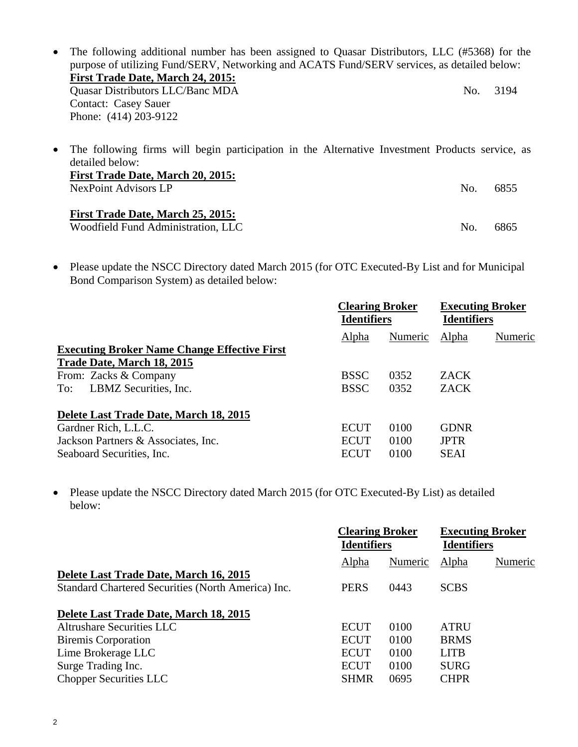• The following additional number has been assigned to Quasar Distributors, LLC (#5368) for the purpose of utilizing Fund/SERV, Networking and ACATS Fund/SERV services, as detailed below: **First Trade Date, March 24, 2015:**  Quasar Distributors LLC/Banc MDA No. 3194 Contact: Casey Sauer Phone: (414) 203-9122 The following firms will begin participation in the Alternative Investment Products service, as detailed below: **First Trade Date, March 20, 2015:**  NexPoint Advisors LP No. 6855

## **First Trade Date, March 25, 2015:**

Woodfield Fund Administration, LLC No. 6865

• Please update the NSCC Directory dated March 2015 (for OTC Executed-By List and for Municipal Bond Comparison System) as detailed below:

|                                                     | <b>Clearing Broker</b><br><b>Identifiers</b> |         | <b>Executing Broker</b><br><b>Identifiers</b> |         |
|-----------------------------------------------------|----------------------------------------------|---------|-----------------------------------------------|---------|
|                                                     | Alpha                                        | Numeric | Alpha                                         | Numeric |
| <b>Executing Broker Name Change Effective First</b> |                                              |         |                                               |         |
| Trade Date, March 18, 2015<br>From: Zacks & Company | <b>BSSC</b>                                  | 0352    | <b>ZACK</b>                                   |         |
| LBMZ Securities, Inc.<br>To:                        | <b>BSSC</b>                                  | 0352    | <b>ZACK</b>                                   |         |
| Delete Last Trade Date, March 18, 2015              |                                              |         |                                               |         |
| Gardner Rich, L.L.C.                                | <b>ECUT</b>                                  | 0100    | <b>GDNR</b>                                   |         |
| Jackson Partners & Associates, Inc.                 | <b>ECUT</b>                                  | 0100    | <b>JPTR</b>                                   |         |
| Seaboard Securities, Inc.                           | ECUT                                         | 0100    | SEAI                                          |         |

• Please update the NSCC Directory dated March 2015 (for OTC Executed-By List) as detailed below:

|                                                                                              | <b>Clearing Broker</b><br><b>Identifiers</b> |         | <b>Executing Broker</b><br><b>Identifiers</b> |         |
|----------------------------------------------------------------------------------------------|----------------------------------------------|---------|-----------------------------------------------|---------|
|                                                                                              | Alpha                                        | Numeric | Alpha                                         | Numeric |
| Delete Last Trade Date, March 16, 2015<br>Standard Chartered Securities (North America) Inc. | <b>PERS</b>                                  | 0443    | <b>SCBS</b>                                   |         |
| Delete Last Trade Date, March 18, 2015                                                       |                                              |         |                                               |         |
| Altrushare Securities LLC                                                                    | <b>ECUT</b>                                  | 0100    | <b>ATRU</b>                                   |         |
| <b>Biremis Corporation</b>                                                                   | <b>ECUT</b>                                  | 0100    | <b>BRMS</b>                                   |         |
| Lime Brokerage LLC                                                                           | <b>ECUT</b>                                  | 0100    | <b>LITB</b>                                   |         |
| Surge Trading Inc.                                                                           | <b>ECUT</b>                                  | 0100    | <b>SURG</b>                                   |         |
| <b>Chopper Securities LLC</b>                                                                | <b>SHMR</b>                                  | 0695    | <b>CHPR</b>                                   |         |